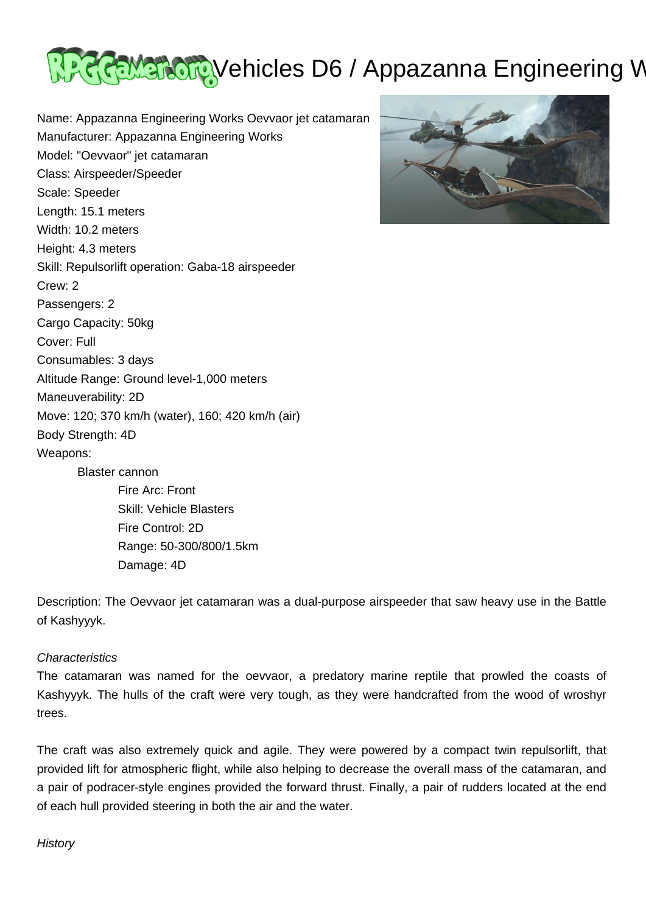

Name: Appazanna Engineering Works Oevvaor jet catamaran Manufacturer: Appazanna Engineering Works Model: "Oevvaor" jet catamaran Class: Airspeeder/Speeder Scale: Speeder Length: 15.1 meters Width: 10.2 meters Height: 4.3 meters Skill: Repulsorlift operation: Gaba-18 airspeeder Crew: 2 Passengers: 2 Cargo Capacity: 50kg Cover: Full Consumables: 3 days Altitude Range: Ground level-1,000 meters Maneuverability: 2D Move: 120; 370 km/h (water), 160; 420 km/h (air) Body Strength: 4D Weapons: Blaster cannon Fire Arc: Front Skill: Vehicle Blasters Fire Control: 2D Range: 50-300/800/1.5km

Damage: 4D



Description: The Oevvaor jet catamaran was a dual-purpose airspeeder that saw heavy use in the Battle of Kashyyyk.

## **Characteristics**

The catamaran was named for the oevvaor, a predatory marine reptile that prowled the coasts of Kashyyyk. The hulls of the craft were very tough, as they were handcrafted from the wood of wroshyr trees.

The craft was also extremely quick and agile. They were powered by a compact twin repulsorlift, that provided lift for atmospheric flight, while also helping to decrease the overall mass of the catamaran, and a pair of podracer-style engines provided the forward thrust. Finally, a pair of rudders located at the end of each hull provided steering in both the air and the water.

## **History**